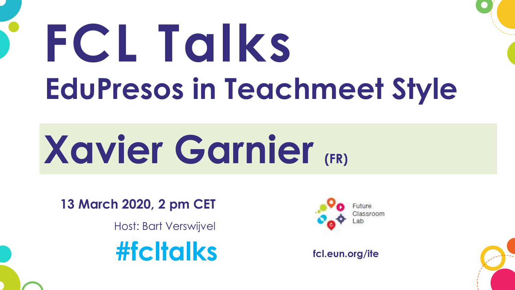# **FCL Talks EduPresos in Teachmeet Style**

# **Xavier Garnier (FR)**

**13 March 2020, 2 pm CET**

Host: Bart Verswijvel





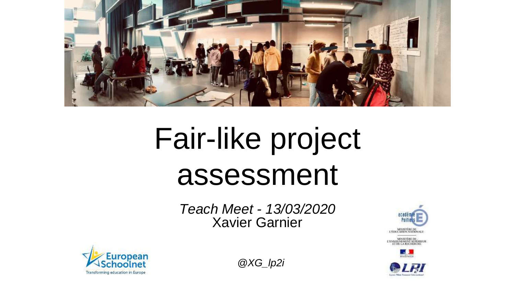

### Fair-like project assessment

*Teach Meet - 13/03/2020* Xavier Garnier







*@XG\_lp2i*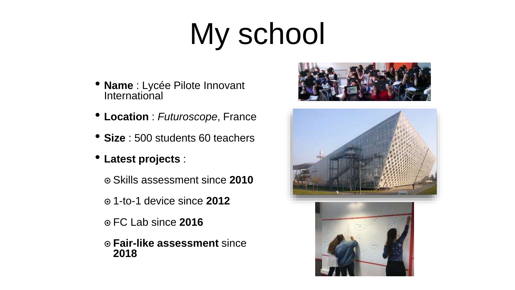### My school

- **Name** : Lycée Pilote Innovant **International**
- **Location** : *Futuroscope*, France
- **Size** : 500 students 60 teachers
- **Latest projects** :
	- ๏ Skills assessment since **2010**
	- ๏ 1-to-1 device since **2012**
	- ๏ FC Lab since **2016**
	- ๏ **Fair-like assessment** since **2018**



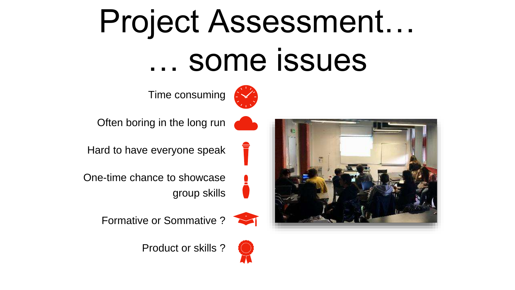### Project Assessment… … some issues



Time consuming



Often boring in the long run

Hard to have everyone speak





Formative or Sommative ?



Product or skills ?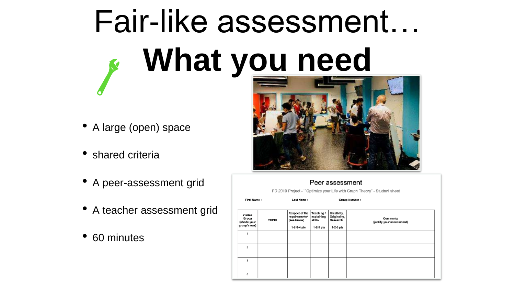# Fair-like assessment… **What you need**

- A large (open) space
- shared criteria
- A peer-assessment grid
- A teacher assessment grid
- 60 minutes



### Peer assessment

FD 2019 Project - ""Optimize your Life with Graph Theory" - Student sheet

| First Name:                                     |              | Last Name:<br>Group Number :                                  |                                                   |                                                        |                                       |
|-------------------------------------------------|--------------|---------------------------------------------------------------|---------------------------------------------------|--------------------------------------------------------|---------------------------------------|
| Visited<br>Group<br>(shade your<br>group's row) | <b>TOPIC</b> | Respect of the<br>requirements*<br>(see below)<br>1-2-3-4 pts | Teaching /<br>explaining<br>skills<br>$1-2-3$ pts | Creativity,<br>Originality,<br>Research<br>$1-2-3$ pts | Comments<br>(justify your assessment) |
|                                                 |              |                                                               |                                                   |                                                        |                                       |
| 2                                               |              |                                                               |                                                   |                                                        |                                       |
| 3                                               |              |                                                               |                                                   |                                                        |                                       |
| 4                                               |              |                                                               |                                                   |                                                        |                                       |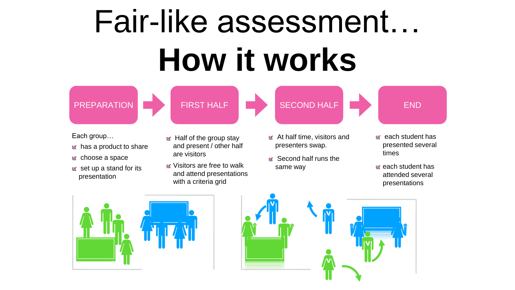## Fair-like assessment… **How it works**



Each group…

- $\mathbf{r}$  has a product to share
- **EX** choose a space
- $\mathbf{r}$  set up a stand for its presentation
- $\mathbf{u}$  Half of the group stay and present / other half are visitors

FIRST HALF

- **K** Visitors are free to walk and attend presentations with a criteria grid
- $\alpha$  At half time, visitors and presenters swap.
- **M** Second half runs the same way
- $\mathbf{r}$  each student has presented several times
- $\mathbf{r}$  each student has attended several presentations





SECOND HALF **END**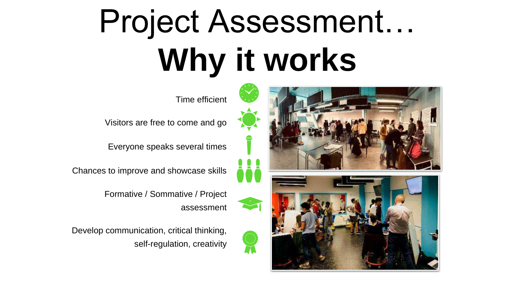## Project Assessment… **Why it works**

Time efficient

Visitors are free to come and go

Everyone speaks several times

Chances to improve and showcase skills

Formative / Sommative / Project assessment

Develop communication, critical thinking, self-regulation, creativity